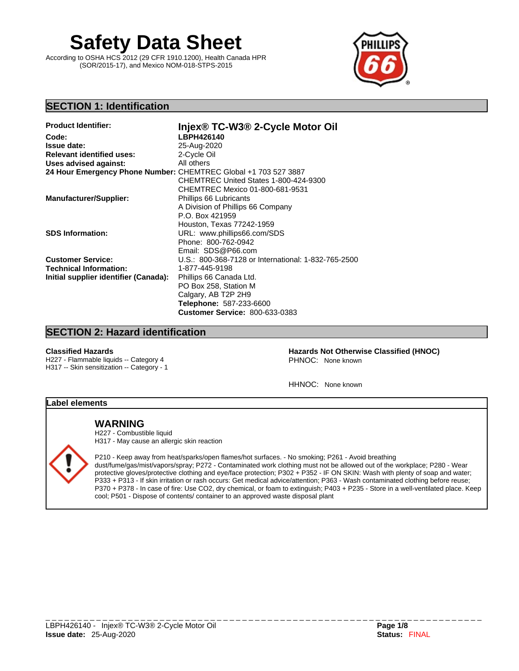# **Safety Data Sheet**

According to OSHA HCS 2012 (29 CFR 1910.1200), Health Canada HPR (SOR/2015-17), and Mexico NOM-018-STPS-2015



# **SECTION 1: Identification**

| <b>Product Identifier:</b>                                      | Injex® TC-W3® 2-Cycle Motor Oil                     |
|-----------------------------------------------------------------|-----------------------------------------------------|
| Code:                                                           | LBPH426140                                          |
| <b>Issue date:</b>                                              | 25-Aug-2020                                         |
| <b>Relevant identified uses:</b>                                | 2-Cycle Oil                                         |
| Uses advised against:                                           | All others                                          |
| 24 Hour Emergency Phone Number: CHEMTREC Global +1 703 527 3887 |                                                     |
|                                                                 | CHEMTREC United States 1-800-424-9300               |
|                                                                 | CHEMTREC Mexico 01-800-681-9531                     |
| <b>Manufacturer/Supplier:</b>                                   | Phillips 66 Lubricants                              |
|                                                                 | A Division of Phillips 66 Company                   |
|                                                                 | P.O. Box 421959                                     |
|                                                                 | Houston, Texas 77242-1959                           |
| <b>SDS Information:</b>                                         | URL: www.phillips66.com/SDS                         |
|                                                                 | Phone: 800-762-0942                                 |
|                                                                 | Email: SDS@P66.com                                  |
| <b>Customer Service:</b>                                        | U.S.: 800-368-7128 or International: 1-832-765-2500 |
| <b>Technical Information:</b>                                   | 1-877-445-9198                                      |
| Initial supplier identifier (Canada):                           | Phillips 66 Canada Ltd.                             |
|                                                                 | PO Box 258, Station M                               |
|                                                                 | Calgary, AB T2P 2H9                                 |
|                                                                 | Telephone: 587-233-6600                             |
|                                                                 | <b>Customer Service: 800-633-0383</b>               |

# **SECTION 2: Hazard identification**

H227 - Flammable liquids -- Category 4 H317 -- Skin sensitization -- Category - 1

**Classified Hazards Hazards Not Otherwise Classified (HNOC)**  PHNOC: None known

HHNOC: None known

# **Label elements**

# **WARNING**

H227 - Combustible liquid H317 - May cause an allergic skin reaction



P210 - Keep away from heat/sparks/open flames/hot surfaces. - No smoking; P261 - Avoid breathing dust/fume/gas/mist/vapors/spray; P272 - Contaminated work clothing must not be allowed out of the workplace; P280 - Wear protective gloves/protective clothing and eye/face protection; P302 + P352 - IF ON SKIN: Wash with plenty of soap and water; P333 + P313 - If skin irritation or rash occurs: Get medical advice/attention; P363 - Wash contaminated clothing before reuse; P370 + P378 - In case of fire: Use CO2, dry chemical, or foam to extinguish; P403 + P235 - Store in a well-ventilated place. Keep cool; P501 - Dispose of contents/ container to an approved waste disposal plant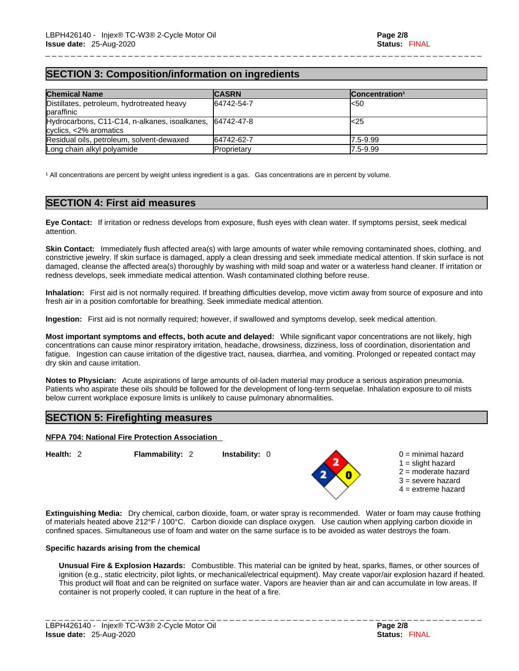# **SECTION 3: Composition/information on ingredients**

| <b>Chemical Name</b>                                                               | <b>CASRN</b> | Concentration <sup>1</sup> |
|------------------------------------------------------------------------------------|--------------|----------------------------|
| Distillates, petroleum, hydrotreated heavy<br>baraffinic                           | 64742-54-7   | l<50                       |
| Hydrocarbons, C11-C14, n-alkanes, isoalkanes, 64742-47-8<br>cyclics, <2% aromatics |              | l<25                       |
| Residual oils, petroleum, solvent-dewaxed                                          | 64742-62-7   | 7.5-9.99                   |
| Long chain alkyl polyamide                                                         | Proprietary  | $7.5 - 9.99$               |

\_ \_ \_ \_ \_ \_ \_ \_ \_ \_ \_ \_ \_ \_ \_ \_ \_ \_ \_ \_ \_ \_ \_ \_ \_ \_ \_ \_ \_ \_ \_ \_ \_ \_ \_ \_ \_ \_ \_ \_ \_ \_ \_ \_ \_ \_ \_ \_ \_ \_ \_ \_ \_ \_ \_ \_ \_ \_ \_ \_ \_ \_ \_ \_ \_ \_ \_ \_ \_

<sup>1</sup> All concentrations are percent by weight unless ingredient is a gas. Gas concentrations are in percent by volume.

# **SECTION 4: First aid measures**

**Eye Contact:** If irritation or redness develops from exposure, flush eyes with clean water. If symptoms persist, seek medical attention.

**Skin Contact:** Immediately flush affected area(s) with large amounts of water while removing contaminated shoes, clothing, and constrictive jewelry. If skin surface is damaged, apply a clean dressing and seek immediate medical attention. If skin surface is not damaged, cleanse the affected area(s) thoroughly by washing with mild soap and water or a waterless hand cleaner. If irritation or redness develops, seek immediate medical attention. Wash contaminated clothing before reuse.

**Inhalation:** First aid isnot normally required.If breathing difficulties develop, move victim away from source of exposure and into fresh air in a position comfortable for breathing. Seek immediate medical attention.

**Ingestion:** First aid is not normally required; however, if swallowed and symptoms develop, seek medical attention.

**Most important symptoms and effects, both acute and delayed:** While significant vapor concentrations are not likely, high concentrations can cause minor respiratory irritation, headache, drowsiness, dizziness, loss of coordination, disorientation and fatigue. Ingestion can cause irritation of the digestive tract, nausea, diarrhea, and vomiting. Prolonged or repeated contact may dry skin and cause irritation.

**Notes to Physician:** Acute aspirations of large amounts of oil-laden material may produce a serious aspiration pneumonia. Patients who aspirate these oils should be followed for the development of long-term sequelae. Inhalation exposure to oil mists below current workplace exposure limits is unlikely to cause pulmonary abnormalities.

# **SECTION 5: Firefighting measures**

#### **NFPA 704: National Fire Protection Association**

**Health:** 2 **Flammability:** 2 **Instability:** 0



- $0 =$  minimal hazard
- $1 =$  slight hazard
- 2 = moderate hazard
	- 3 = severe hazard
	- $4 =$  extreme hazard

**Extinguishing Media:** Dry chemical, carbon dioxide, foam, or water spray is recommended. Water or foam may cause frothing of materials heated above 212°F / 100°C. Carbon dioxide can displace oxygen. Use caution when applying carbon dioxide in confined spaces. Simultaneous use of foam and water on the same surface is to be avoided as water destroys the foam.

#### **Specific hazards arising from the chemical**

**Unusual Fire & Explosion Hazards:** Combustible. This material can be ignited by heat, sparks, flames, or other sources of ignition (e.g., static electricity, pilot lights, or mechanical/electrical equipment). May create vapor/air explosion hazard if heated. This product will float and can be reignited on surface water. Vapors are heavier than air and can accumulate in low areas. If container is not properly cooled, it can rupture in the heat of a fire.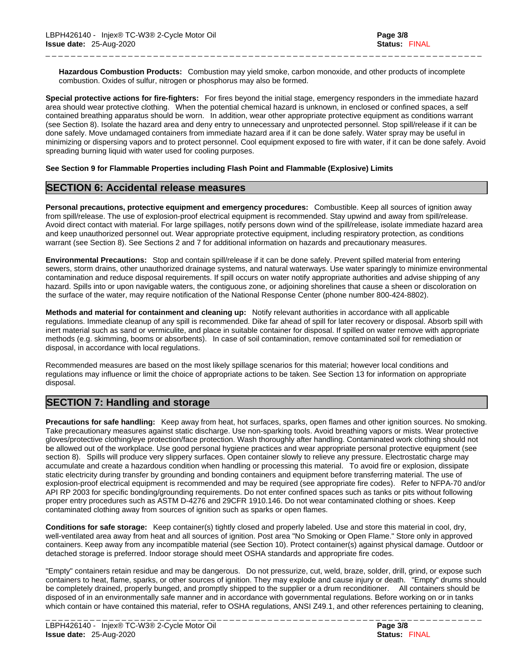**Hazardous Combustion Products:** Combustion may yield smoke, carbon monoxide, and other products of incomplete combustion. Oxides of sulfur, nitrogen or phosphorus may also be formed.

\_ \_ \_ \_ \_ \_ \_ \_ \_ \_ \_ \_ \_ \_ \_ \_ \_ \_ \_ \_ \_ \_ \_ \_ \_ \_ \_ \_ \_ \_ \_ \_ \_ \_ \_ \_ \_ \_ \_ \_ \_ \_ \_ \_ \_ \_ \_ \_ \_ \_ \_ \_ \_ \_ \_ \_ \_ \_ \_ \_ \_ \_ \_ \_ \_ \_ \_ \_ \_

**Special protective actions for fire-fighters:** For fires beyond the initial stage, emergency responders in the immediate hazard area should wear protective clothing. When the potential chemical hazard is unknown, in enclosed or confined spaces, a self contained breathing apparatus should be worn. In addition, wear other appropriate protective equipment as conditions warrant (see Section 8). Isolate the hazard area and deny entry to unnecessary and unprotected personnel. Stop spill/release if it can be done safely. Move undamaged containers from immediate hazard area if it can be done safely. Water spray may be useful in minimizing or dispersing vapors and to protect personnel. Cool equipment exposed to fire with water, if it can be done safely. Avoid spreading burning liquid with water used for cooling purposes.

#### **See Section 9 for Flammable Properties including Flash Point and Flammable (Explosive) Limits**

# **SECTION 6: Accidental release measures**

**Personal precautions, protective equipment and emergency procedures:** Combustible. Keep all sources of ignition away from spill/release. The use of explosion-proof electrical equipment is recommended. Stay upwind and away from spill/release. Avoid direct contact with material. For large spillages, notify persons down wind of the spill/release, isolate immediate hazard area and keep unauthorized personnel out. Wear appropriate protective equipment, including respiratory protection, as conditions warrant (see Section 8). See Sections 2 and 7 for additional information on hazards and precautionary measures.

**Environmental Precautions:** Stop and contain spill/release if it can be done safely. Prevent spilled material from entering sewers, storm drains, other unauthorized drainage systems, and natural waterways. Use water sparingly to minimize environmental contamination and reduce disposal requirements. If spill occurs on water notify appropriate authorities and advise shipping of any hazard. Spills into or upon navigable waters, the contiguous zone, or adioining shorelines that cause a sheen or discoloration on the surface of the water, may require notification of the National Response Center (phone number 800-424-8802).

**Methods and material for containment and cleaning up:** Notify relevant authorities in accordance with all applicable regulations. Immediate cleanup of any spill is recommended. Dike far ahead of spill for later recovery or disposal. Absorb spill with inert material such as sand or vermiculite, and place in suitable container for disposal. If spilled on water remove with appropriate methods (e.g. skimming, booms or absorbents). In case of soil contamination, remove contaminated soil for remediation or disposal, in accordance with local regulations.

Recommended measures are based on the most likely spillage scenarios for this material; however local conditions and regulations may influence or limit the choice of appropriate actions to be taken. See Section 13 for information on appropriate disposal.

# **SECTION 7: Handling and storage**

**Precautions for safe handling:** Keep away from heat, hot surfaces, sparks, open flames and other ignition sources. No smoking. Take precautionary measures against static discharge. Use non-sparking tools. Avoid breathing vapors or mists. Wear protective gloves/protective clothing/eye protection/face protection. Wash thoroughly after handling. Contaminated work clothing should not be allowed out of the workplace. Use good personal hygiene practices and wear appropriate personal protective equipment (see section 8). Spills will produce very slippery surfaces. Open container slowly to relieve any pressure. Electrostatic charge may accumulate and create a hazardous condition when handling or processing this material. To avoid fire or explosion, dissipate static electricity during transfer by grounding and bonding containers and equipment before transferring material. The use of explosion-proof electrical equipment is recommended and may be required (see appropriate fire codes). Refer to NFPA-70 and/or API RP 2003 for specific bonding/grounding requirements. Do not enterconfined spaces such as tanks or pits without following proper entry procedures such as ASTM D-4276 and 29CFR 1910.146. Do not wear contaminated clothing or shoes. Keep contaminated clothing away from sources of ignition such as sparks or open flames.

**Conditions for safe storage:** Keep container(s) tightly closed and properly labeled. Use and store this material in cool, dry, well-ventilated area away from heat and all sources of ignition. Post area "No Smoking or Open Flame." Store only in approved containers. Keep away from any incompatible material (see Section 10). Protect container(s) against physical damage. Outdoor or detached storage is preferred. Indoor storage should meet OSHA standards and appropriate fire codes.

"Empty" containers retain residue and may be dangerous. Do not pressurize, cut, weld, braze, solder, drill, grind, or expose such containers to heat, flame, sparks, or other sources of ignition. They may explode and cause injury or death."Empty" drums should be completely drained, properly bunged, and promptly shipped to the supplier or a drum reconditioner. All containers should be disposed of in an environmentally safe manner and in accordance with governmental regulations. Before working on or in tanks which contain or have contained this material, refer to OSHA regulations, ANSI Z49.1, and other references pertaining to cleaning,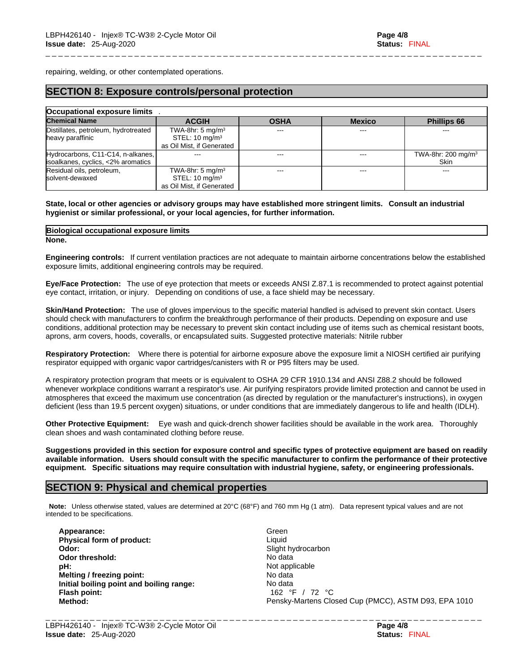repairing, welding, or other contemplated operations.

# **SECTION 8: Exposure controls/personal protection**

| Occupational exposure limits         |                              |             |               |                                |  |
|--------------------------------------|------------------------------|-------------|---------------|--------------------------------|--|
| <b>Chemical Name</b>                 | <b>ACGIH</b>                 | <b>OSHA</b> | <b>Mexico</b> | <b>Phillips 66</b>             |  |
| Distillates, petroleum, hydrotreated | TWA-8hr: $5 \text{ mg/m}^3$  |             |               |                                |  |
| heavy paraffinic                     | STEL: $10 \text{ mg/m}^3$    |             |               |                                |  |
|                                      | as Oil Mist, if Generated    |             |               |                                |  |
| Hydrocarbons, C11-C14, n-alkanes,    |                              | ---         | ---           | TWA-8hr: 200 mg/m <sup>3</sup> |  |
| isoalkanes, cyclics, <2% aromatics   |                              |             |               | <b>Skin</b>                    |  |
| Residual oils, petroleum,            | TWA-8hr: 5 mg/m <sup>3</sup> | ---         | ---           | $- - -$                        |  |
| solvent-dewaxed                      | STEL: $10 \text{ mg/m}^3$    |             |               |                                |  |
|                                      | as Oil Mist, if Generated    |             |               |                                |  |

\_ \_ \_ \_ \_ \_ \_ \_ \_ \_ \_ \_ \_ \_ \_ \_ \_ \_ \_ \_ \_ \_ \_ \_ \_ \_ \_ \_ \_ \_ \_ \_ \_ \_ \_ \_ \_ \_ \_ \_ \_ \_ \_ \_ \_ \_ \_ \_ \_ \_ \_ \_ \_ \_ \_ \_ \_ \_ \_ \_ \_ \_ \_ \_ \_ \_ \_ \_ \_

#### State, local or other agencies or advisory groups may have established more stringent limits. Consult an industrial **hygienist or similar professional, or your local agencies, for further information.**

#### **None. Biological occupational exposure limits**

**Engineering controls:** If current ventilation practices are not adequate to maintain airborne concentrations below the established exposure limits, additional engineering controls may be required.

**Eye/Face Protection:** The use of eye protection that meets or exceeds ANSI Z.87.1 isrecommended to protect against potential eye contact, irritation, or injury. Depending on conditions of use, a face shield may be necessary.

**Skin/Hand Protection:** The use of gloves impervious to the specific material handled is advised to prevent skin contact. Users should check with manufacturers to confirm the breakthrough performance of their products. Depending on exposure and use conditions, additional protection may be necessary to prevent skin contact including use of items such as chemical resistant boots, aprons, arm covers, hoods, coveralls, or encapsulated suits. Suggested protective materials: Nitrile rubber

**Respiratory Protection:** Where there is potential for airborne exposure above the exposure limit a NIOSH certified air purifying respirator equipped with organic vapor cartridges/canisters with R or P95 filters may be used.

A respiratory protection program that meets or is equivalent to OSHA 29 CFR 1910.134 and ANSI Z88.2 should be followed whenever workplace conditions warrant a respirator's use. Air purifying respirators provide limited protection and cannot be used in atmospheres that exceed the maximum use concentration (as directed by regulation or the manufacturer's instructions), in oxygen deficient (less than 19.5 percent oxygen) situations, or under conditions that are immediately dangerous to life and health (IDLH).

**Other Protective Equipment:** Eye wash and quick-drench shower facilities should be available in the work area. Thoroughly clean shoes and wash contaminated clothing before reuse.

Suggestions provided in this section for exposure control and specific types of protective equipment are based on readily available information. Users should consult with the specific manufacturer to confirm the performance of their protective **equipment. Specific situations may require consultation with industrial hygiene, safety, or engineering professionals.**

# **SECTION 9: Physical and chemical properties**

**Note:** Unless otherwise stated, values are determined at 20°C (68°F) and 760 mm Hg (1 atm). Data represent typical values and are not intended to be specifications.

**Appearance:** Green **Physical form of product:** Liquid **Odor: Slight hydrocarbon Odor threshold:** No data **pH:**  $\blacksquare$ **Melting** / **freezing point:** No data **Initial boiling point and boiling range:** No data **Flash point:** 162 °F / 72 °C

**Method:** Pensky-Martens Closed Cup (PMCC), ASTM D93, EPA 1010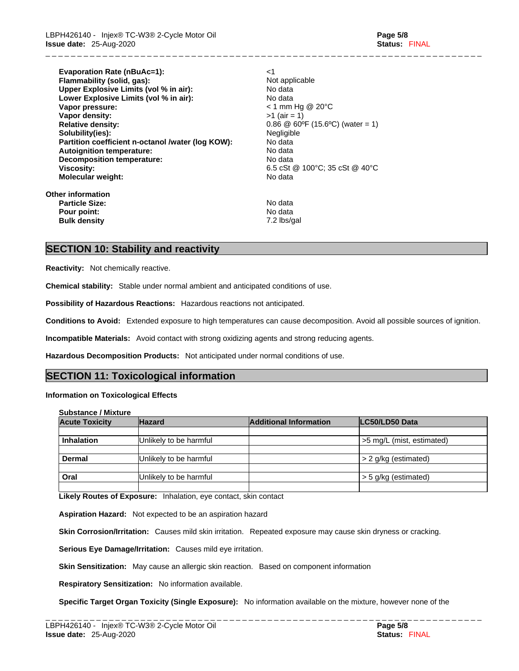**Evaporation Rate (nBuAc=1):** <1 **Flammability (solid, gas):** Not applicable **Upper Explosive Limits (vol% in air):** No data **Lower Explosive Limits (vol% in air):** No data **Vapor pressure:** < 1 mm Hg @ 20°C **Vapor density:**  $>1$  (air = 1) **Relative density:** 0.86 @ 60°F (15.6°C) (water = 1) **Solubility(ies):** Negligible<br> **Partition coefficient n-octanol /water (log KOW):** No data **Partition coefficient n-octanol /water (log KOW): No data<br>
<b>Autoignition temperature:** No data **Autoignition temperature: Decomposition temperature:** No data **Viscosity:** 6.5 cSt @ 100°C; 35 cSt @ 40°C **Molecular weight:** No data **Other information** 

\_ \_ \_ \_ \_ \_ \_ \_ \_ \_ \_ \_ \_ \_ \_ \_ \_ \_ \_ \_ \_ \_ \_ \_ \_ \_ \_ \_ \_ \_ \_ \_ \_ \_ \_ \_ \_ \_ \_ \_ \_ \_ \_ \_ \_ \_ \_ \_ \_ \_ \_ \_ \_ \_ \_ \_ \_ \_ \_ \_ \_ \_ \_ \_ \_ \_ \_ \_ \_

**Particle Size:** No data **Pour point:**<br> **Pour point:**<br> **Pour point:**<br> **Pour point:**<br> **Pour point:**<br> **Pour point:**<br> **Pour point:**<br> **Pour point: Bulk density** 

# **SECTION 10: Stability and reactivity**

**Reactivity:** Not chemically reactive.

**Chemical stability:** Stable under normal ambient and anticipated conditions of use.

**Possibility of Hazardous Reactions:** Hazardous reactions not anticipated.

**Conditions to Avoid:** Extended exposure to high temperatures can cause decomposition. Avoid all possible sources of ignition.

**Incompatible Materials:** Avoid contact with strong oxidizing agents and strong reducing agents.

**Hazardous Decomposition Products:** Not anticipated under normal conditions of use.

# **SECTION 11: Toxicological information**

#### **Information on Toxicological Effects**

**Substance / Mixture**

| <b>Acute Toxicity</b> | <b>Hazard</b>          | <b>Additional Information</b> | LC50/LD50 Data            |
|-----------------------|------------------------|-------------------------------|---------------------------|
|                       |                        |                               |                           |
| <b>Inhalation</b>     | Unlikely to be harmful |                               | >5 mg/L (mist, estimated) |
|                       |                        |                               |                           |
| <b>Dermal</b>         | Unlikely to be harmful |                               | > 2 g/kg (estimated)      |
|                       |                        |                               |                           |
| Oral                  | Unlikely to be harmful |                               | $>$ 5 g/kg (estimated)    |
|                       |                        |                               |                           |

**Likely Routes of Exposure:** Inhalation, eye contact, skin contact

**Aspiration Hazard:** Not expected to be an aspiration hazard

**Skin Corrosion/Irritation:** Causes mild skin irritation. Repeated exposure may cause skin dryness or cracking.

**Serious Eye Damage/Irritation:** Causes mild eye irritation.

**Skin Sensitization:** May cause an allergic skin reaction. Based on component information

**Respiratory Sensitization:** No information available.

**Specific Target Organ Toxicity (Single Exposure):** No information available on the mixture, however none of the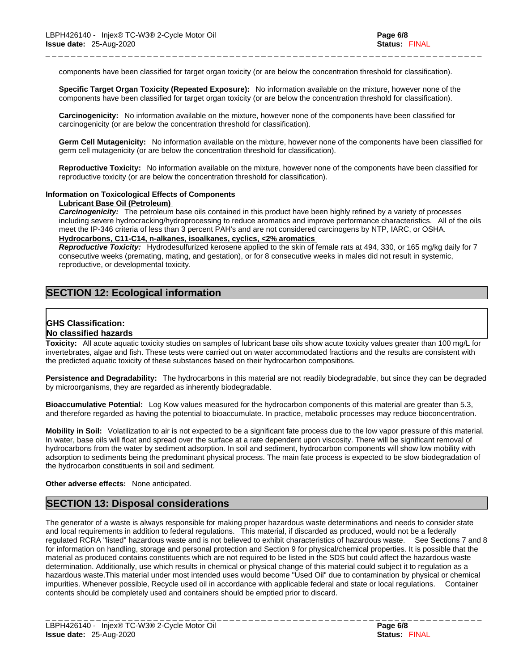components have been classified for target organ toxicity (or are below the concentration threshold for classification).

\_ \_ \_ \_ \_ \_ \_ \_ \_ \_ \_ \_ \_ \_ \_ \_ \_ \_ \_ \_ \_ \_ \_ \_ \_ \_ \_ \_ \_ \_ \_ \_ \_ \_ \_ \_ \_ \_ \_ \_ \_ \_ \_ \_ \_ \_ \_ \_ \_ \_ \_ \_ \_ \_ \_ \_ \_ \_ \_ \_ \_ \_ \_ \_ \_ \_ \_ \_ \_

**Specific Target Organ Toxicity (Repeated Exposure):** No information available on the mixture, however none of the components have been classified for target organ toxicity (or are below the concentration threshold for classification).

**Carcinogenicity:** No information available on the mixture, however none of the components have been classified for carcinogenicity (or are below the concentration threshold for classification).

**Germ Cell Mutagenicity:** No information available on the mixture, however none of the components have been classified for germ cell mutagenicity (or are below the concentration threshold for classification).

**Reproductive Toxicity:** No information available on the mixture, however none of the components have been classified for reproductive toxicity (or are below the concentration threshold for classification).

### **Information on Toxicological Effects of Components**

#### **Lubricant Base Oil (Petroleum)**

*Carcinogenicity:* The petroleum base oils contained in this product have been highly refined by a variety of processes including severe hydrocracking/hydroprocessing to reduce aromatics and improve performance characteristics. All of the oils meet the IP-346 criteria of less than 3 percent PAH's and are not considered carcinogens by NTP, IARC, or OSHA. **Hydrocarbons, C11-C14, n-alkanes, isoalkanes, cyclics, <2% aromatics**

*Reproductive Toxicity:* Hydrodesulfurized kerosene applied to the skin of female rats at 494,330, or 165 mg/kg daily for 7 consecutive weeks (premating, mating, and gestation), or for 8 consecutive weeks in males did not result in systemic, reproductive, or developmental toxicity.

# **SECTION 12: Ecological information**

# **GHS Classification:**

#### **No classified hazards**

**Toxicity:** All acute aquatic toxicity studies on samples of lubricant base oils show acute toxicity values greater than 100 mg/L for invertebrates, algae and fish. These tests were carried out on water accommodated fractions and the results are consistent with the predicted aquatic toxicity of these substances based on their hydrocarbon compositions.

**Persistence and Degradability:** The hydrocarbons in this material are not readily biodegradable, but since they can be degraded by microorganisms, they are regarded as inherently biodegradable.

**Bioaccumulative Potential:** Log Kow values measured for the hydrocarbon components of this material are greater than 5.3, and therefore regarded as having the potential to bioaccumulate. In practice, metabolic processes may reduce bioconcentration.

**Mobility in Soil:** Volatilization to air is not expected to be a significant fate process due to the low vapor pressure of this material. In water, base oils will float and spread over the surface at a rate dependent upon viscosity. There will be significant removal of hydrocarbons from the water by sediment adsorption. In soil and sediment, hydrocarbon components will show low mobility with adsorption to sediments being the predominant physical process. The main fate process is expected to be slow biodegradation of the hydrocarbon constituents in soil and sediment.

#### **Other adverse effects:** None anticipated.

# **SECTION 13: Disposal considerations**

The generator of a waste is always responsible for making proper hazardous waste determinations and needs to consider state and local requirements in addition to federal regulations. This material, if discarded as produced, would not be a federally regulated RCRA "listed" hazardous waste and is not believed to exhibit characteristics of hazardous waste. See Sections 7 and 8 for information on handling, storage and personal protection and Section 9 for physical/chemical properties. It is possible that the material as produced contains constituents which are not required to be listed in the SDS but could affect the hazardous waste determination. Additionally, use which results in chemical or physical change of this material could subject it to regulation as a hazardous waste.This material under most intended uses would become "Used Oil" due to contamination by physical or chemical impurities. Whenever possible, Recycle used oil in accordance with applicable federal and state or local regulations. Container contents should be completely used and containers should be emptied prior to discard.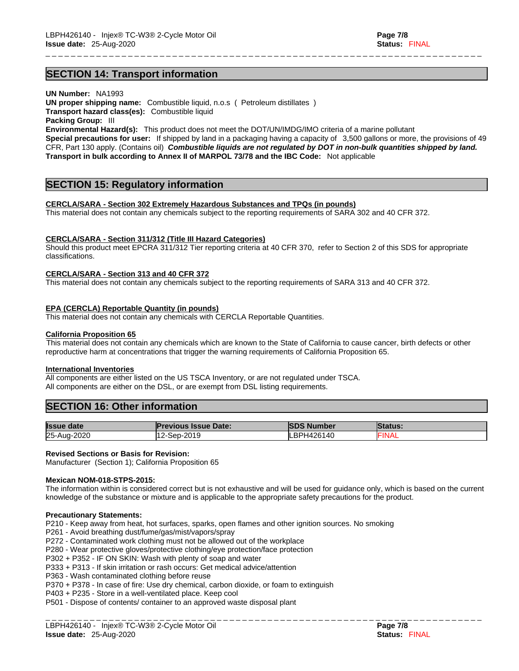**SECTION 14: Transport information** 

**UN Number:** NA1993

**UN proper shipping name:** Combustible liquid, n.o.s ( Petroleum distillates )

**Transport hazard class(es):** Combustible liquid

**Packing Group:** III

**Environmental Hazard(s):** This product does not meet the DOT/UN/IMDG/IMO criteria of a marine pollutant **Special precautions for user:** If shipped by land in a packaging having a capacity of 3,500 gallons or more, the provisions of 49 CFR, Part 130 apply. (Contains oil) *Combustible liquids are not regulated by DOT in non-bulk quantities shipped by land.* **Transport in bulk according to Annex II of MARPOL 73/78 and the IBC Code:** Not applicable

\_ \_ \_ \_ \_ \_ \_ \_ \_ \_ \_ \_ \_ \_ \_ \_ \_ \_ \_ \_ \_ \_ \_ \_ \_ \_ \_ \_ \_ \_ \_ \_ \_ \_ \_ \_ \_ \_ \_ \_ \_ \_ \_ \_ \_ \_ \_ \_ \_ \_ \_ \_ \_ \_ \_ \_ \_ \_ \_ \_ \_ \_ \_ \_ \_ \_ \_ \_ \_

# **SECTION 15: Regulatory information**

#### **CERCLA/SARA - Section 302 Extremely Hazardous Substances and TPQs (in pounds)**

This material does not contain any chemicals subject to the reporting requirements of SARA 302 and 40 CFR 372.

#### **CERCLA/SARA - Section 311/312 (Title III Hazard Categories)**

Should this product meet EPCRA 311/312 Tier reporting criteria at 40 CFR 370, refer to Section 2 of this SDS for appropriate classifications.

#### **CERCLA/SARA - Section 313 and 40 CFR 372**

This material does not contain any chemicals subject to the reporting requirements of SARA 313 and 40 CFR 372.

#### **EPA (CERCLA) Reportable Quantity (in pounds)**

This material does not contain any chemicals with CERCLA Reportable Quantities.

#### **California Proposition 65**

This material does not contain any chemicals which are known to the State of California to cause cancer, birth defects or other reproductive harm at concentrations that trigger the warning requirements of California Proposition 65.

#### **International Inventories**

All components are either listed on the US TSCA Inventory, or are not regulated under TSCA. All components are either on the DSL, or are exempt from DSL listing requirements.

# **SECTION 16: Other information**

| <b>Issue date</b> | <b>Previous Issue Date:</b> | <b>ISDS Number</b> | <b>Status:</b> |
|-------------------|-----------------------------|--------------------|----------------|
| 25-Aug-2020       | 12-Sep-2019                 | LBPH426140         | <b>FINAL</b>   |

#### **Revised Sections or Basis for Revision:**

Manufacturer (Section 1); California Proposition 65

#### **Mexican NOM-018-STPS-2015:**

The information within is considered correct but is not exhaustive and will be used for guidance only, which is based on the current knowledge of the substance or mixture and is applicable to the appropriate safety precautions for the product.

#### **Precautionary Statements:**

P210 - Keep away from heat, hot surfaces, sparks, open flames and other ignition sources. No smoking

P261 - Avoid breathing dust/fume/gas/mist/vapors/spray

- P272 Contaminated work clothing must not be allowed out of the workplace
- P280 Wear protective gloves/protective clothing/eye protection/face protection

P302 + P352 - IF ON SKIN: Wash with plenty of soap and water

- P333 + P313 If skin irritation or rash occurs: Get medical advice/attention
- P363 Wash contaminated clothing before reuse
- P370 + P378 In case of fire: Use dry chemical, carbon dioxide, or foam to extinguish
- P403 + P235 Store in a well-ventilated place. Keep cool

P501 - Dispose of contents/ container to an approved waste disposal plant